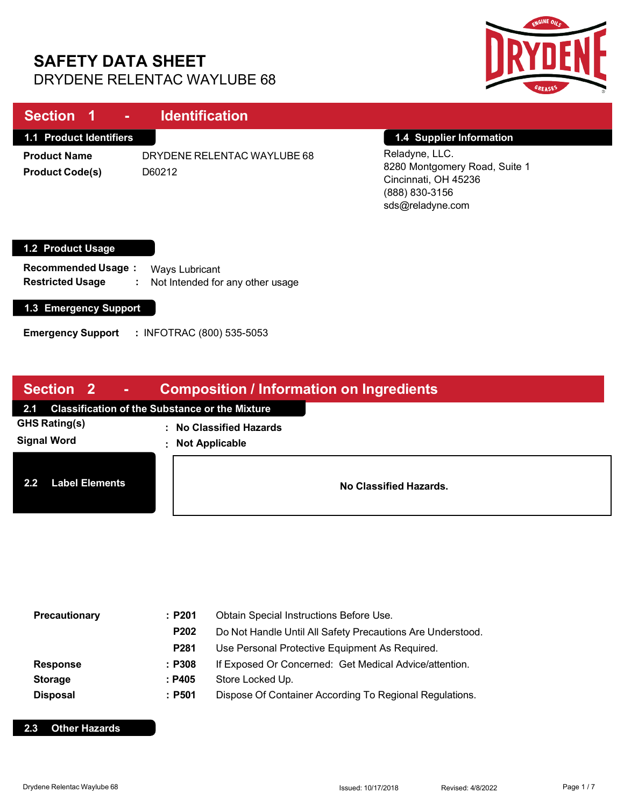# **SAFETY DATA SHEET** DRYDENE RELENTAC WAYLUBE 68



| Section 1<br><b>Contract</b>                                              | <b>Identification</b>                                    |                                                                                                               |
|---------------------------------------------------------------------------|----------------------------------------------------------|---------------------------------------------------------------------------------------------------------------|
| <b>1.1 Product Identifiers</b>                                            |                                                          | 1.4 Supplier Information                                                                                      |
| <b>Product Name</b><br><b>Product Code(s)</b>                             | DRYDENE RELENTAC WAYLUBE 68<br>D60212                    | Reladyne, LLC.<br>8280 Montgomery Road, Suite 1<br>Cincinnati, OH 45236<br>(888) 830-3156<br>sds@reladyne.com |
| 1.2 Product Usage<br><b>Recommended Usage:</b><br><b>Restricted Usage</b> | Ways Lubricant<br>Not Intended for any other usage<br>÷. |                                                                                                               |
| 1.3 Emergency Support                                                     |                                                          |                                                                                                               |

**Emergency Support :** INFOTRAC (800) 535-5053

| Section 2<br><b>Composition / Information on Ingredients</b><br>$\mathcal{L}$<br><b>Service Service</b> |                                                       |
|---------------------------------------------------------------------------------------------------------|-------------------------------------------------------|
| <b>Classification of the Substance or the Mixture</b><br>2.1                                            |                                                       |
| GHS Rating(s)<br><b>Signal Word</b>                                                                     | : No Classified Hazards<br><b>Not Applicable</b><br>÷ |
| <b>Label Elements</b><br>2.2                                                                            | No Classified Hazards.                                |

| Precautionary   | :P201  | Obtain Special Instructions Before Use.                    |
|-----------------|--------|------------------------------------------------------------|
|                 | P202   | Do Not Handle Until All Safety Precautions Are Understood. |
|                 | P281   | Use Personal Protective Equipment As Required.             |
| <b>Response</b> | : P308 | If Exposed Or Concerned: Get Medical Advice/attention.     |
| <b>Storage</b>  | : P405 | Store Locked Up.                                           |
| <b>Disposal</b> | : P501 | Dispose Of Container According To Regional Regulations.    |

### **2.3 Other Hazards**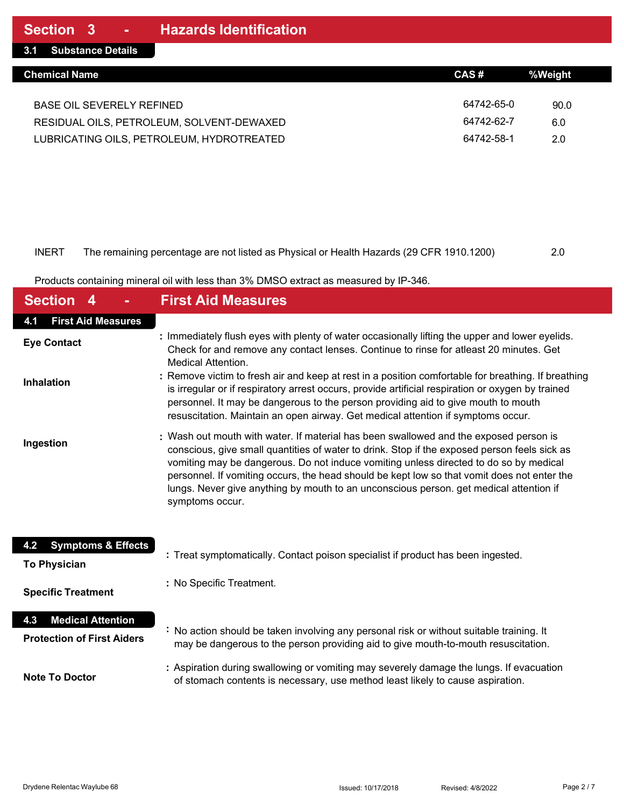#### INERT The remaining percentage are not listed as Physical or Health Hazards (29 CFR 1910.1200) 2.0

Products containing mineral oil with less than 3% DMSO extract as measured by IP-346.

| <b>Section</b>                                                       | <b>First Aid Measures</b>                                                                                                                                                                                                                                                                                                                                                                                                                                                                  |
|----------------------------------------------------------------------|--------------------------------------------------------------------------------------------------------------------------------------------------------------------------------------------------------------------------------------------------------------------------------------------------------------------------------------------------------------------------------------------------------------------------------------------------------------------------------------------|
| <b>First Aid Measures</b><br>4.1                                     |                                                                                                                                                                                                                                                                                                                                                                                                                                                                                            |
| <b>Eye Contact</b>                                                   | : Immediately flush eyes with plenty of water occasionally lifting the upper and lower eyelids.<br>Check for and remove any contact lenses. Continue to rinse for atleast 20 minutes. Get<br><b>Medical Attention.</b>                                                                                                                                                                                                                                                                     |
| <b>Inhalation</b>                                                    | : Remove victim to fresh air and keep at rest in a position comfortable for breathing. If breathing<br>is irregular or if respiratory arrest occurs, provide artificial respiration or oxygen by trained<br>personnel. It may be dangerous to the person providing aid to give mouth to mouth<br>resuscitation. Maintain an open airway. Get medical attention if symptoms occur.                                                                                                          |
| Ingestion                                                            | : Wash out mouth with water. If material has been swallowed and the exposed person is<br>conscious, give small quantities of water to drink. Stop if the exposed person feels sick as<br>vomiting may be dangerous. Do not induce vomiting unless directed to do so by medical<br>personnel. If vomiting occurs, the head should be kept low so that vomit does not enter the<br>lungs. Never give anything by mouth to an unconscious person. get medical attention if<br>symptoms occur. |
| <b>Symptoms &amp; Effects</b><br>4.2<br><b>To Physician</b>          | : Treat symptomatically. Contact poison specialist if product has been ingested.                                                                                                                                                                                                                                                                                                                                                                                                           |
| <b>Specific Treatment</b>                                            | : No Specific Treatment.                                                                                                                                                                                                                                                                                                                                                                                                                                                                   |
| <b>Medical Attention</b><br>4.3<br><b>Protection of First Aiders</b> | : No action should be taken involving any personal risk or without suitable training. It<br>may be dangerous to the person providing aid to give mouth-to-mouth resuscitation.                                                                                                                                                                                                                                                                                                             |
| <b>Note To Doctor</b>                                                | : Aspiration during swallowing or vomiting may severely damage the lungs. If evacuation<br>of stomach contents is necessary, use method least likely to cause aspiration.                                                                                                                                                                                                                                                                                                                  |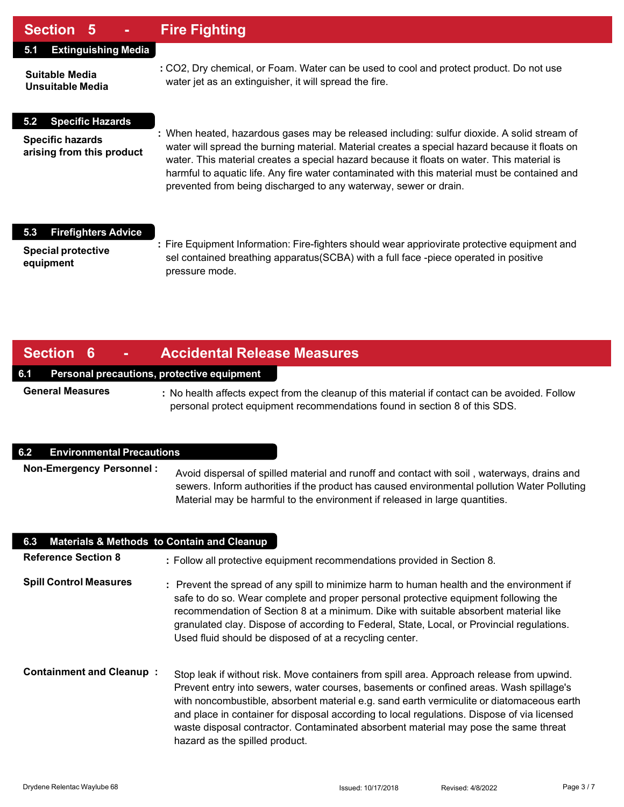## **Section 5 - Fire Fighting**

#### **5.1 Extinguishing Media**

**Suitable Media Unsuitable Media**

**5.2 Specific Hazards**

**Specific hazards arising from this product**

- **:** CO2, Dry chemical, or Foam. Water can be used to cool and protect product. Do not use water jet as an extinguisher, it will spread the fire.
- **:** When heated, hazardous gases may be released including: sulfur dioxide. A solid stream of water will spread the burning material. Material creates a special hazard because it floats on water. This material creates a special hazard because it floats on water. This material is harmful to aquatic life. Any fire water contaminated with this material must be contained and prevented from being discharged to any waterway, sewer or drain.

#### **5.3 Firefighters Advice**

**Special protective equipment**

**:** Fire Equipment Information: Fire-fighters should wear appriovirate protective equipment and sel contained breathing apparatus(SCBA) with a full face -piece operated in positive pressure mode.

## **Section 6 - Accidental Release Measures**

#### **6.1 Personal precautions, protective equipment**

**General Measures**

**:** No health affects expect from the cleanup of this material if contact can be avoided. Follow personal protect equipment recommendations found in section 8 of this SDS.

#### **6.2 Environmental Precautions**

**Non-Emergency Personnel :** Avoid dispersal of spilled material and runoff and contact with soil , waterways, drains and sewers. Inform authorities if the product has caused environmental pollution Water Polluting Material may be harmful to the environment if released in large quantities.

| <b>Materials &amp; Methods to Contain and Cleanup</b><br>6.3 |                                                                                                                                                                                                                                                                                                                                                                                                                                                                                                          |
|--------------------------------------------------------------|----------------------------------------------------------------------------------------------------------------------------------------------------------------------------------------------------------------------------------------------------------------------------------------------------------------------------------------------------------------------------------------------------------------------------------------------------------------------------------------------------------|
| <b>Reference Section 8</b>                                   | : Follow all protective equipment recommendations provided in Section 8.                                                                                                                                                                                                                                                                                                                                                                                                                                 |
| <b>Spill Control Measures</b>                                | : Prevent the spread of any spill to minimize harm to human health and the environment if<br>safe to do so. Wear complete and proper personal protective equipment following the<br>recommendation of Section 8 at a minimum. Dike with suitable absorbent material like<br>granulated clay. Dispose of according to Federal, State, Local, or Provincial regulations.<br>Used fluid should be disposed of at a recycling center.                                                                        |
| <b>Containment and Cleanup:</b>                              | Stop leak if without risk. Move containers from spill area. Approach release from upwind.<br>Prevent entry into sewers, water courses, basements or confined areas. Wash spillage's<br>with noncombustible, absorbent material e.g. sand earth vermiculite or diatomaceous earth<br>and place in container for disposal according to local regulations. Dispose of via licensed<br>waste disposal contractor. Contaminated absorbent material may pose the same threat<br>hazard as the spilled product. |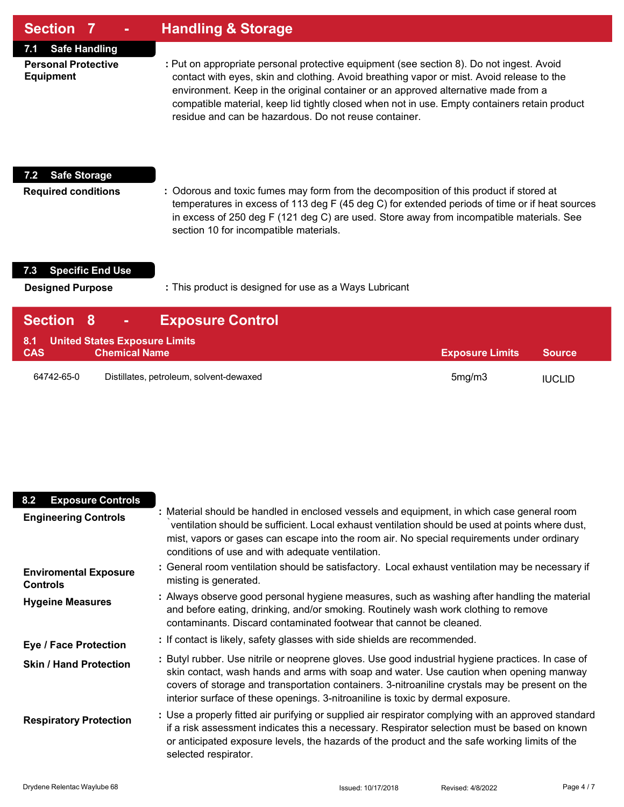| <b>Section 7</b>                                                              | <b>Handling &amp; Storage</b>                                                                                                                                                                                                                                                                                                                                                                                                         |
|-------------------------------------------------------------------------------|---------------------------------------------------------------------------------------------------------------------------------------------------------------------------------------------------------------------------------------------------------------------------------------------------------------------------------------------------------------------------------------------------------------------------------------|
| <b>Safe Handling</b><br>7.1<br><b>Personal Protective</b><br><b>Equipment</b> | : Put on appropriate personal protective equipment (see section 8). Do not ingest. Avoid<br>contact with eyes, skin and clothing. Avoid breathing vapor or mist. Avoid release to the<br>environment. Keep in the original container or an approved alternative made from a<br>compatible material, keep lid tightly closed when not in use. Empty containers retain product<br>residue and can be hazardous. Do not reuse container. |
| <b>Safe Storage</b><br>7.2<br><b>Required conditions</b>                      | : Odorous and toxic fumes may form from the decomposition of this product if stored at<br>temperatures in excess of 113 deg F (45 deg C) for extended periods of time or if heat sources<br>in excess of 250 deg F (121 deg C) are used. Store away from incompatible materials. See<br>section 10 for incompatible materials.                                                                                                        |
| <b>Specific End Use</b><br>7.3<br><b>Designed Purpose</b>                     | : This product is designed for use as a Ways Lubricant                                                                                                                                                                                                                                                                                                                                                                                |
| <b>Section</b>                                                                | <b>Exposure Control</b>                                                                                                                                                                                                                                                                                                                                                                                                               |

| <b>VUUUI V</b> | E                                       |                        |               |
|----------------|-----------------------------------------|------------------------|---------------|
|                | 8.1 United States Exposure Limits       |                        |               |
| <b>CAS</b>     | <b>Chemical Name</b>                    | <b>Exposure Limits</b> | <b>Source</b> |
| 64742-65-0     | Distillates, petroleum, solvent-dewaxed | 5mg/m3                 | <b>IUCLID</b> |

| <b>Exposure Controls</b><br>8.2                 |                                                                                                                                                                                                                                                                                                                                                                                  |
|-------------------------------------------------|----------------------------------------------------------------------------------------------------------------------------------------------------------------------------------------------------------------------------------------------------------------------------------------------------------------------------------------------------------------------------------|
| <b>Engineering Controls</b>                     | : Material should be handled in enclosed vessels and equipment, in which case general room<br>ventilation should be sufficient. Local exhaust ventilation should be used at points where dust,<br>mist, vapors or gases can escape into the room air. No special requirements under ordinary<br>conditions of use and with adequate ventilation.                                 |
| <b>Enviromental Exposure</b><br><b>Controls</b> | : General room ventilation should be satisfactory. Local exhaust ventilation may be necessary if<br>misting is generated.                                                                                                                                                                                                                                                        |
| <b>Hygeine Measures</b>                         | : Always observe good personal hygiene measures, such as washing after handling the material<br>and before eating, drinking, and/or smoking. Routinely wash work clothing to remove<br>contaminants. Discard contaminated footwear that cannot be cleaned.                                                                                                                       |
| <b>Eye / Face Protection</b>                    | : If contact is likely, safety glasses with side shields are recommended.                                                                                                                                                                                                                                                                                                        |
| <b>Skin / Hand Protection</b>                   | : Butyl rubber. Use nitrile or neoprene gloves. Use good industrial hygiene practices. In case of<br>skin contact, wash hands and arms with soap and water. Use caution when opening manway<br>covers of storage and transportation containers. 3-nitroaniline crystals may be present on the<br>interior surface of these openings. 3-nitroaniline is toxic by dermal exposure. |
| <b>Respiratory Protection</b>                   | : Use a properly fitted air purifying or supplied air respirator complying with an approved standard<br>if a risk assessment indicates this a necessary. Respirator selection must be based on known<br>or anticipated exposure levels, the hazards of the product and the safe working limits of the<br>selected respirator.                                                    |

I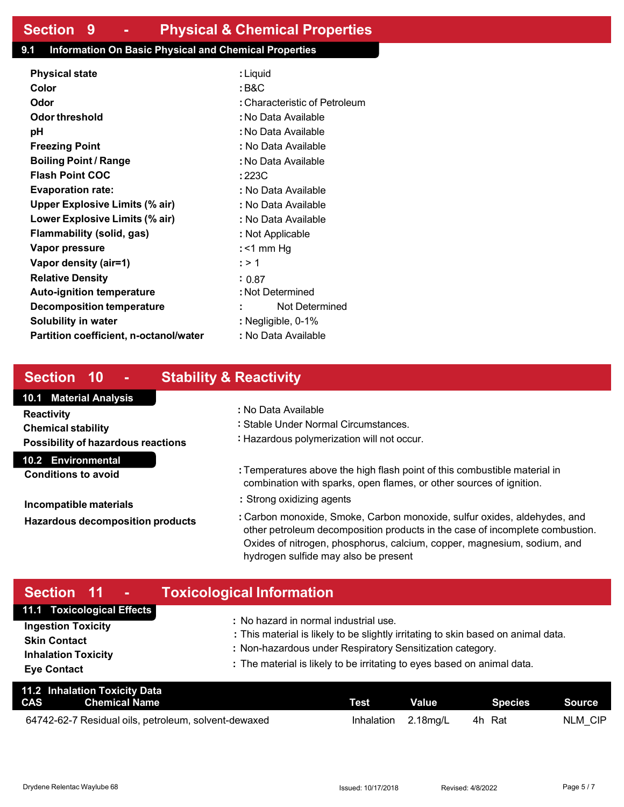### **9.1 Information On Basic Physical and Chemical Properties**

| <b>Physical state</b>                  | : Liquid                      |  |
|----------------------------------------|-------------------------------|--|
| Color                                  | : B&C                         |  |
| Odor                                   | : Characteristic of Petroleum |  |
| Odor threshold                         | : No Data Available           |  |
| рH                                     | : No Data Available           |  |
| <b>Freezing Point</b>                  | : No Data Available           |  |
| <b>Boiling Point / Range</b>           | : No Data Available           |  |
| <b>Flash Point COC</b>                 | : 223C                        |  |
| <b>Evaporation rate:</b>               | : No Data Available           |  |
| <b>Upper Explosive Limits (% air)</b>  | : No Data Available           |  |
| Lower Explosive Limits (% air)         | : No Data Available           |  |
| Flammability (solid, gas)              | : Not Applicable              |  |
| Vapor pressure                         | : $<$ 1 mm Hg                 |  |
| Vapor density (air=1)                  | : > 1                         |  |
| <b>Relative Density</b>                | : 0.87                        |  |
| <b>Auto-ignition temperature</b>       | : Not Determined              |  |
| Decomposition temperature              | Not Determined                |  |
| <b>Solubility in water</b>             | : Negligible, 0-1%            |  |
| Partition coefficient, n-octanol/water | : No Data Available           |  |
|                                        |                               |  |

# **Section 10 - Stability & Reactivity**

### **10.1 Material Analysis**

**Reactivity Chemical stability**

**Possibility of hazardous reactions** 

**10.2 Environmental**

**Conditions to avoid**

**Incompatible materials Hazardous decomposition products**

- **:** No Data Available
- **:** Stable Under Normal Circumstances.
- **:** Hazardous polymerization will not occur.
- **:** Temperatures above the high flash point of this combustible material in combination with sparks, open flames, or other sources of ignition.
- **:** Strong oxidizing agents
- **:** Carbon monoxide, Smoke, Carbon monoxide, sulfur oxides, aldehydes, and other petroleum decomposition products in the case of incomplete combustion. Oxides of nitrogen, phosphorus, calcium, copper, magnesium, sodium, and hydrogen sulfide may also be present

#### **Section 11 - Toxicological Information 11.1 Toxicological Effects Ingestion Toxicity Skin Contact :** No hazard in normal industrial use. **:** This material is likely to be slightly irritating to skin based on animal data.

**Inhalation Toxicity Eye Contact**

- **:** Non-hazardous under Respiratory Sensitization category.
- **:** The material is likely to be irritating to eyes based on animal data.

| 11.2 Inhalation Toxicity Data<br><b>CAS</b><br>Chemical Name | <b>Test</b> | Value       | <b>Species</b> | Source  |
|--------------------------------------------------------------|-------------|-------------|----------------|---------|
| 64742-62-7 Residual oils, petroleum, solvent-dewaxed         | Inhalation  | $2.18$ mg/L | 4h Rat         | NLM CIP |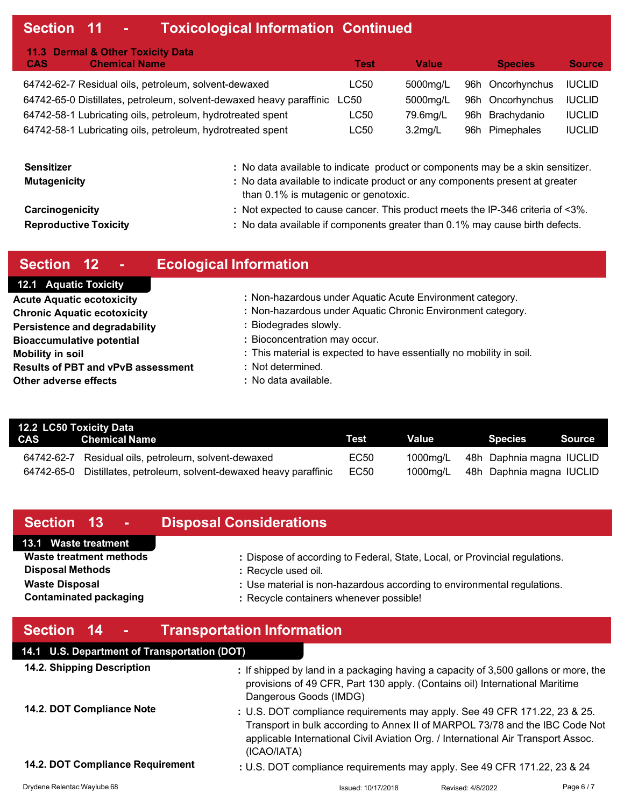# **Section 11 - Toxicological Information Continued**

| 11.3 Dermal & Other Toxicity Data                                        |      |            |                  |               |
|--------------------------------------------------------------------------|------|------------|------------------|---------------|
| <b>Chemical Name</b><br><b>CAS</b>                                       | Test | Value      | <b>Species</b>   | <b>Source</b> |
| 64742-62-7 Residual oils, petroleum, solvent-dewaxed                     | LC50 | 5000mg/L   | 96h Oncorhynchus | <b>IUCLID</b> |
| 64742-65-0 Distillates, petroleum, solvent-dewaxed heavy paraffinic LC50 |      | 5000mg/L   | 96h Oncorhynchus | <b>IUCLID</b> |
| 64742-58-1 Lubricating oils, petroleum, hydrotreated spent               | LC50 | 79.6mg/L   | 96h Brachydanio  | <b>IUCLID</b> |
| 64742-58-1 Lubricating oils, petroleum, hydrotreated spent               | LC50 | $3.2$ mg/L | 96h Pimephales   | <b>IUCLID</b> |

| <b>Sensitizer</b>            | : No data available to indicate product or components may be a skin sensitizer.                                      |
|------------------------------|----------------------------------------------------------------------------------------------------------------------|
| <b>Mutagenicity</b>          | : No data available to indicate product or any components present at greater<br>than 0.1% is mutagenic or genotoxic. |
| Carcinogenicity              | : Not expected to cause cancer. This product meets the IP-346 criteria of <3%.                                       |
| <b>Reproductive Toxicity</b> | : No data available if components greater than 0.1% may cause birth defects.                                         |

| Section 12 -                              | <b>Ecological Information</b>                                        |
|-------------------------------------------|----------------------------------------------------------------------|
| <b>12.1 Aquatic Toxicity</b>              |                                                                      |
| <b>Acute Aquatic ecotoxicity</b>          | : Non-hazardous under Aquatic Acute Environment category.            |
| <b>Chronic Aquatic ecotoxicity</b>        | : Non-hazardous under Aquatic Chronic Environment category.          |
| <b>Persistence and degradability</b>      | : Biodegrades slowly.                                                |
| <b>Bioaccumulative potential</b>          | : Bioconcentration may occur.                                        |
| <b>Mobility in soil</b>                   | : This material is expected to have essentially no mobility in soil. |
| <b>Results of PBT and vPvB assessment</b> | : Not determined.                                                    |
| Other adverse effects                     | : No data available.                                                 |

| 12.2 LC50 Toxicity Data |                                                          |      |          |                          |  |  |  |  |  |
|-------------------------|----------------------------------------------------------|------|----------|--------------------------|--|--|--|--|--|
|                         | <b>CAS</b> Chemical Name                                 |      | Value    | Source<br>Species        |  |  |  |  |  |
| 64742-62-7              | Residual oils, petroleum, solvent-dewaxed                | EC50 | 1000mg/L | 48h Daphnia magna IUCLID |  |  |  |  |  |
| 64742-65-0              | Distillates, petroleum, solvent-dewaxed heavy paraffinic | EC50 | 1000mg/L | 48h Daphnia magna IUCLID |  |  |  |  |  |

| Section 13<br>$\sim 100$                     | <b>Disposal Considerations</b>                                                                                                                                                               |  |  |
|----------------------------------------------|----------------------------------------------------------------------------------------------------------------------------------------------------------------------------------------------|--|--|
| 13.1 Waste treatment                         |                                                                                                                                                                                              |  |  |
| Waste treatment methods                      | : Dispose of according to Federal, State, Local, or Provincial regulations.                                                                                                                  |  |  |
| <b>Disposal Methods</b>                      | : Recycle used oil.                                                                                                                                                                          |  |  |
| <b>Waste Disposal</b>                        | : Use material is non-hazardous according to environmental regulations.                                                                                                                      |  |  |
| <b>Contaminated packaging</b>                | : Recycle containers whenever possible!                                                                                                                                                      |  |  |
|                                              |                                                                                                                                                                                              |  |  |
| Section 14 -                                 | <b>Transportation Information</b>                                                                                                                                                            |  |  |
| 14.1 U.S. Department of Transportation (DOT) |                                                                                                                                                                                              |  |  |
| 14.2. Shipping Description                   | : If shipped by land in a packaging having a capacity of 3,500 gallons or more, the<br>provisions of 49 CFR, Part 130 apply. (Contains oil) International Maritime<br>Dangerous Goods (IMDG) |  |  |
| 14.2. DOT Compliance Note                    | : U.S. DOT compliance requirements may apply. See 49 CFR 171.22, 23 & 25.<br>Transport in bulk according to Annex II of MARPOL 73/78 and the IBC Code Not                                    |  |  |

(ICAO/IATA)

#### **14.2. DOT Compliance Requirement**

**:** U.S. DOT compliance requirements may apply. See 49 CFR 171.22, 23 & 24

applicable International Civil Aviation Org. / International Air Transport Assoc.